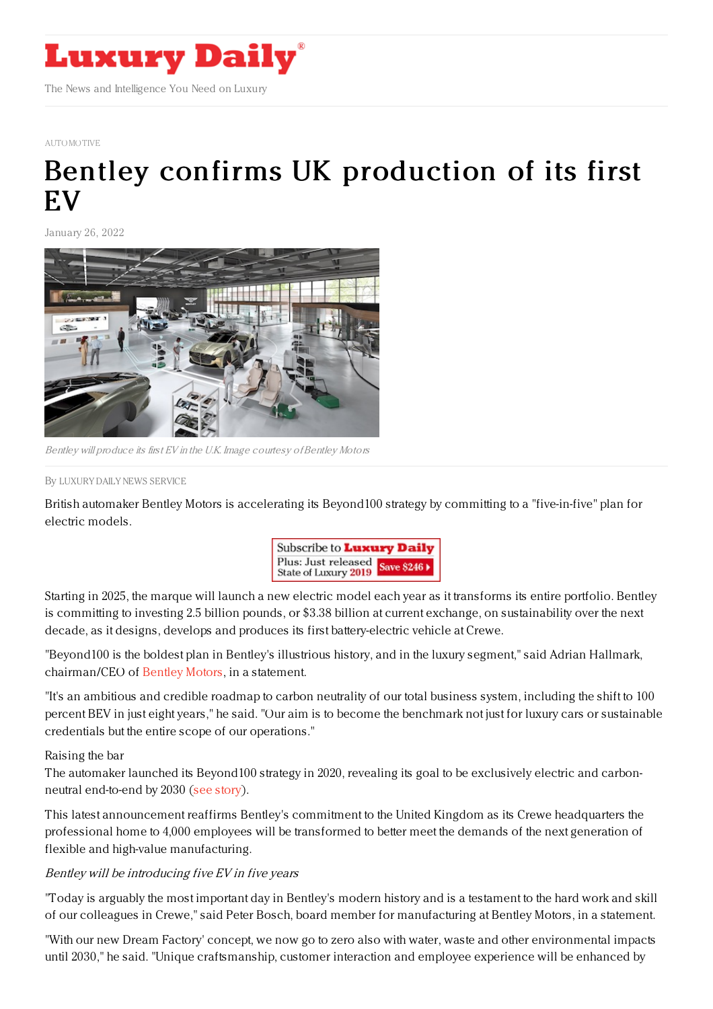

[AUTOMOTIVE](https://www.luxurydaily.com/category/sectors/automotive-industry-sectors/)

## Bentley confirms UK [production](https://www.luxurydaily.com/bentley-beyond100-2022-update/) of its first **EV**

January 26, 2022



Bentley will produce its first EV in the U.K. Image courtesy of Bentley Motors

## By LUXURY DAILY NEWS [SERVICE](file:///author/luxury-daily-news-service)

British automaker Bentley Motors is accelerating its Beyond100 strategy by committing to a "five-in-five" plan for electric models.



Starting in 2025, the marque will launch a new electric model each year as it transforms its entire portfolio. Bentley is committing to investing 2.5 billion pounds, or \$3.38 billion at current exchange, on sustainability over the next decade, as it designs, develops and produces its first battery-electric vehicle at Crewe.

"Beyond100 is the boldest plan in Bentley's illustrious history, and in the luxury segment," said Adrian Hallmark, chairman/CEO of [Bentley](https://www.bentleymotors.com/en.html) Motors, in a statement.

"It's an ambitious and credible roadmap to carbon neutrality of our total business system, including the shift to 100 percent BEV in just eight years," he said. "Our aim is to become the benchmark not just for luxury cars or sustainable credentials but the entire scope of our operations."

## Raising the bar

The automaker launched its Beyond100 strategy in 2020, revealing its goal to be exclusively electric and carbonneutral end-to-end by 2030 (see [story](https://www.luxurydaily.com/bentley-reveals-full-push-to-sustainable-mobility/)).

This latest announcement reaffirms Bentley's commitment to the United Kingdom as its Crewe headquarters the professional home to 4,000 employees will be transformed to better meet the demands of the next generation of flexible and high-value manufacturing.

## Bentley will be introducing five EV in five years

"Today is arguably the most important day in Bentley's modern history and is a testament to the hard work and skill of our colleagues in Crewe," said Peter Bosch, board member for manufacturing at Bentley Motors, in a statement.

"With our new Dream Factory' concept, we now go to zero also with water, waste and other environmental impacts until 2030," he said. "Unique craftsmanship, customer interaction and employee experience will be enhanced by